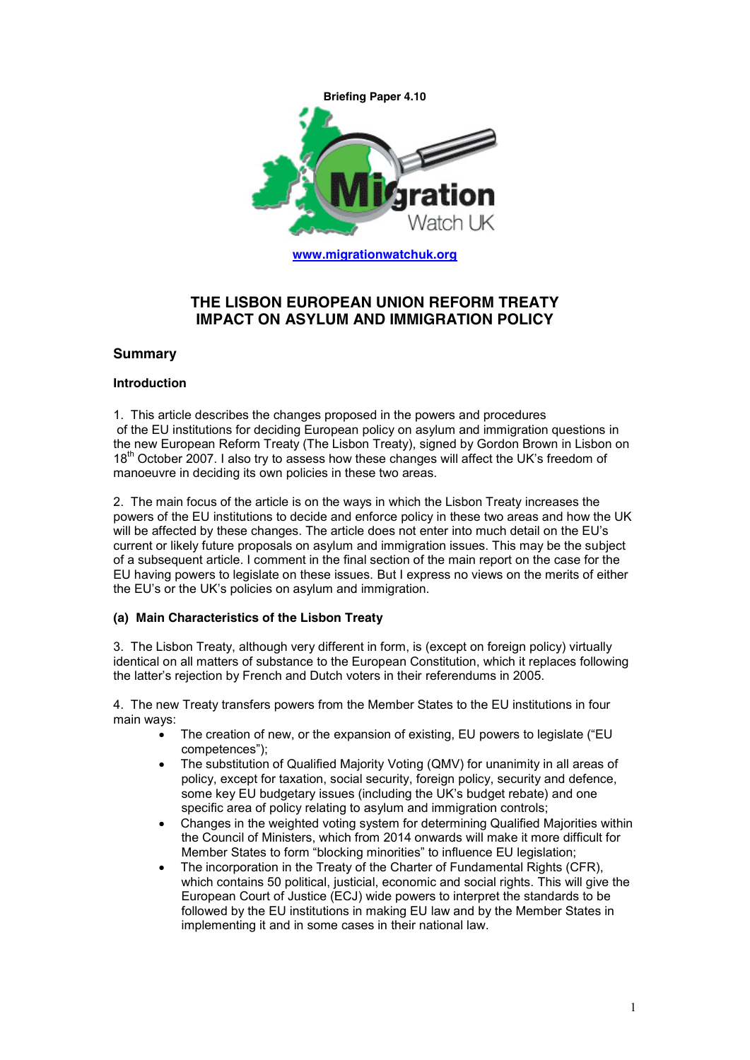

## **THE LISBON EUROPEAN UNION REFORM TREATY IMPACT ON ASYLUM AND IMMIGRATION POLICY**

### **Summary**

### **Introduction**

1. This article describes the changes proposed in the powers and procedures of the EU institutions for deciding European policy on asylum and immigration questions in the new European Reform Treaty (The Lisbon Treaty), signed by Gordon Brown in Lisbon on 18<sup>th</sup> October 2007. I also try to assess how these changes will affect the UK's freedom of manoeuvre in deciding its own policies in these two areas.

2. The main focus of the article is on the ways in which the Lisbon Treaty increases the powers of the EU institutions to decide and enforce policy in these two areas and how the UK will be affected by these changes. The article does not enter into much detail on the EU's current or likely future proposals on asylum and immigration issues. This may be the subject of a subsequent article. I comment in the final section of the main report on the case for the EU having powers to legislate on these issues. But I express no views on the merits of either the EU's or the UK's policies on asylum and immigration.

### **(a) Main Characteristics of the Lisbon Treaty**

3. The Lisbon Treaty, although very different in form, is (except on foreign policy) virtually identical on all matters of substance to the European Constitution, which it replaces following the latter's rejection by French and Dutch voters in their referendums in 2005.

4. The new Treaty transfers powers from the Member States to the EU institutions in four main ways:

- The creation of new, or the expansion of existing, EU powers to legislate ("EU competences");
- The substitution of Qualified Majority Voting (QMV) for unanimity in all areas of policy, except for taxation, social security, foreign policy, security and defence, some key EU budgetary issues (including the UK's budget rebate) and one specific area of policy relating to asylum and immigration controls:
- · Changes in the weighted voting system for determining Qualified Majorities within the Council of Ministers, which from 2014 onwards will make it more difficult for Member States to form "blocking minorities" to influence EU legislation;
- The incorporation in the Treaty of the Charter of Fundamental Rights (CFR), which contains 50 political, justicial, economic and social rights. This will give the European Court of Justice (ECJ) wide powers to interpret the standards to be followed by the EU institutions in making EU law and by the Member States in implementing it and in some cases in their national law.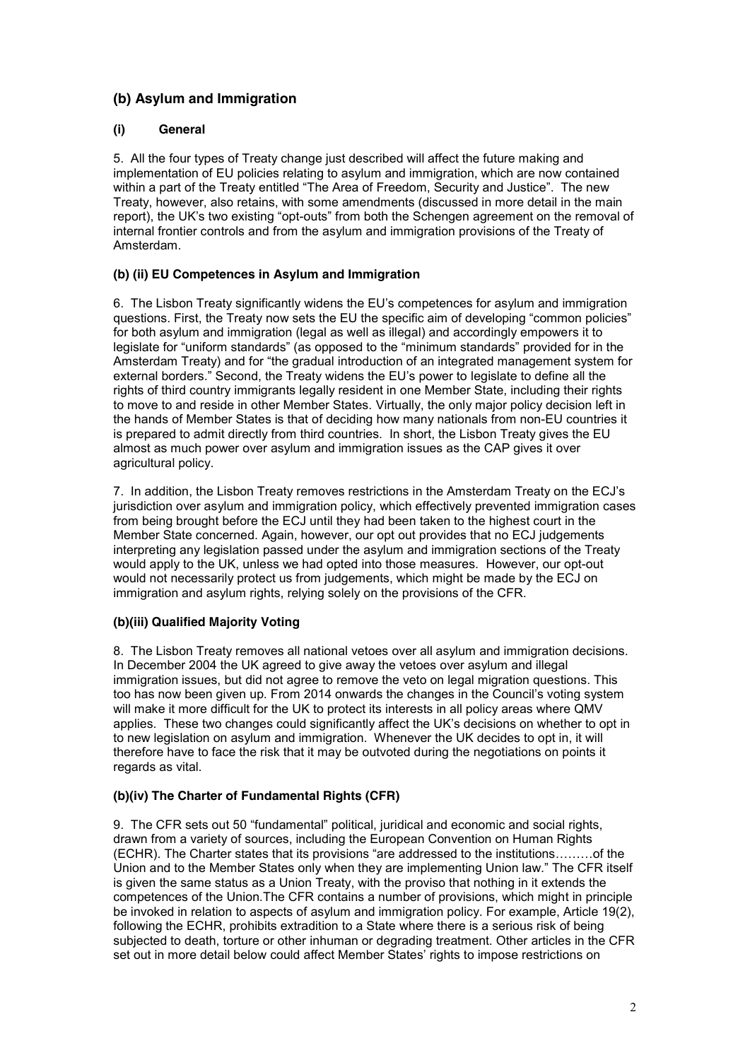# **(b) Asylum and Immigration**

## **(i) General**

5. All the four types of Treaty change just described will affect the future making and implementation of EU policies relating to asylum and immigration, which are now contained within a part of the Treaty entitled "The Area of Freedom, Security and Justice". The new Treaty, however, also retains, with some amendments (discussed in more detail in the main report), the UK's two existing "opt-outs" from both the Schengen agreement on the removal of internal frontier controls and from the asylum and immigration provisions of the Treaty of Amsterdam.

## **(b) (ii) EU Competences in Asylum and Immigration**

6. The Lisbon Treaty significantly widens the EU's competences for asylum and immigration questions. First, the Treaty now sets the EU the specific aim of developing "common policies" for both asylum and immigration (legal as well as illegal) and accordingly empowers it to legislate for "uniform standards" (as opposed to the "minimum standards" provided for in the Amsterdam Treaty) and for "the gradual introduction of an integrated management system for external borders." Second, the Treaty widens the EU's power to legislate to define all the rights of third country immigrants legally resident in one Member State, including their rights to move to and reside in other Member States. Virtually, the only major policy decision left in the hands of Member States is that of deciding how many nationals from non-EU countries it is prepared to admit directly from third countries. In short, the Lisbon Treaty gives the EU almost as much power over asylum and immigration issues as the CAP gives it over agricultural policy.

7. In addition, the Lisbon Treaty removes restrictions in the Amsterdam Treaty on the ECJ's jurisdiction over asylum and immigration policy, which effectively prevented immigration cases from being brought before the ECJ until they had been taken to the highest court in the Member State concerned. Again, however, our opt out provides that no ECJ judgements interpreting any legislation passed under the asylum and immigration sections of the Treaty would apply to the UK, unless we had opted into those measures. However, our opt-out would not necessarily protect us from judgements, which might be made by the ECJ on immigration and asylum rights, relying solely on the provisions of the CFR.

## **(b)(iii) Qualified Majority Voting**

8. The Lisbon Treaty removes all national vetoes over all asylum and immigration decisions. In December 2004 the UK agreed to give away the vetoes over asylum and illegal immigration issues, but did not agree to remove the veto on legal migration questions. This too has now been given up. From 2014 onwards the changes in the Council's voting system will make it more difficult for the UK to protect its interests in all policy areas where QMV applies. These two changes could significantly affect the UK's decisions on whether to opt in to new legislation on asylum and immigration. Whenever the UK decides to opt in, it will therefore have to face the risk that it may be outvoted during the negotiations on points it regards as vital.

## **(b)(iv) The Charter of Fundamental Rights (CFR)**

9. The CFR sets out 50 "fundamental" political, juridical and economic and social rights, drawn from a variety of sources, including the European Convention on Human Rights (ECHR). The Charter states that its provisions "are addressed to the institutions………of the Union and to the Member States only when they are implementing Union law." The CFR itself is given the same status as a Union Treaty, with the proviso that nothing in it extends the competences of the Union.The CFR contains a number of provisions, which might in principle be invoked in relation to aspects of asylum and immigration policy. For example, Article 19(2), following the ECHR, prohibits extradition to a State where there is a serious risk of being subjected to death, torture or other inhuman or degrading treatment. Other articles in the CFR set out in more detail below could affect Member States' rights to impose restrictions on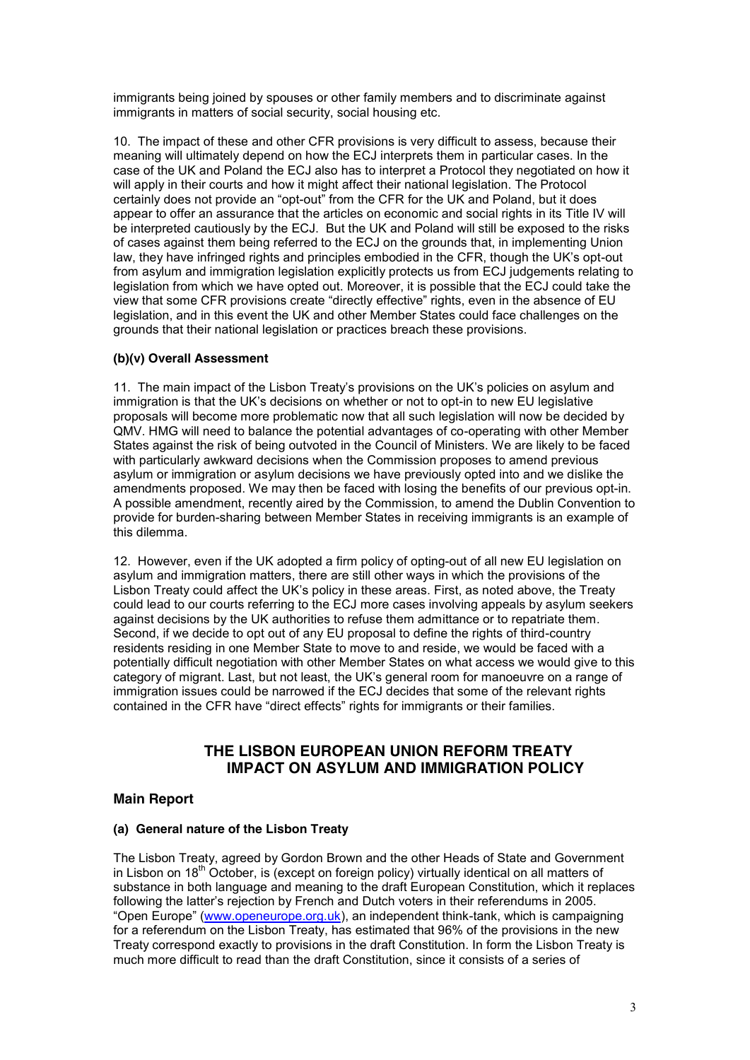immigrants being joined by spouses or other family members and to discriminate against immigrants in matters of social security, social housing etc.

10. The impact of these and other CFR provisions is very difficult to assess, because their meaning will ultimately depend on how the ECJ interprets them in particular cases. In the case of the UK and Poland the ECJ also has to interpret a Protocol they negotiated on how it will apply in their courts and how it might affect their national legislation. The Protocol certainly does not provide an "opt-out" from the CFR for the UK and Poland, but it does appear to offer an assurance that the articles on economic and social rights in its Title IV will be interpreted cautiously by the ECJ. But the UK and Poland will still be exposed to the risks of cases against them being referred to the ECJ on the grounds that, in implementing Union law, they have infringed rights and principles embodied in the CFR, though the UK's opt-out from asylum and immigration legislation explicitly protects us from ECJ judgements relating to legislation from which we have opted out. Moreover, it is possible that the ECJ could take the view that some CFR provisions create "directly effective" rights, even in the absence of EU legislation, and in this event the UK and other Member States could face challenges on the grounds that their national legislation or practices breach these provisions.

### **(b)(v) Overall Assessment**

11. The main impact of the Lisbon Treaty's provisions on the UK's policies on asylum and immigration is that the UK's decisions on whether or not to opt-in to new EU legislative proposals will become more problematic now that all such legislation will now be decided by QMV. HMG will need to balance the potential advantages of co-operating with other Member States against the risk of being outvoted in the Council of Ministers. We are likely to be faced with particularly awkward decisions when the Commission proposes to amend previous asylum or immigration or asylum decisions we have previously opted into and we dislike the amendments proposed. We may then be faced with losing the benefits of our previous opt-in. A possible amendment, recently aired by the Commission, to amend the Dublin Convention to provide for burden-sharing between Member States in receiving immigrants is an example of this dilemma.

12. However, even if the UK adopted a firm policy of opting-out of all new EU legislation on asylum and immigration matters, there are still other ways in which the provisions of the Lisbon Treaty could affect the UK's policy in these areas. First, as noted above, the Treaty could lead to our courts referring to the ECJ more cases involving appeals by asylum seekers against decisions by the UK authorities to refuse them admittance or to repatriate them. Second, if we decide to opt out of any EU proposal to define the rights of third-country residents residing in one Member State to move to and reside, we would be faced with a potentially difficult negotiation with other Member States on what access we would give to this category of migrant. Last, but not least, the UK's general room for manoeuvre on a range of immigration issues could be narrowed if the ECJ decides that some of the relevant rights contained in the CFR have "direct effects" rights for immigrants or their families.

## **THE LISBON EUROPEAN UNION REFORM TREATY IMPACT ON ASYLUM AND IMMIGRATION POLICY**

## **Main Report**

### **(a) General nature of the Lisbon Treaty**

The Lisbon Treaty, agreed by Gordon Brown and the other Heads of State and Government in Lisbon on  $18<sup>th</sup>$  October, is (except on foreign policy) virtually identical on all matters of substance in both language and meaning to the draft European Constitution, which it replaces following the latter's rejection by French and Dutch voters in their referendums in 2005. "Open Europe" (www.openeurope.org.uk), an independent think-tank, which is campaigning for a referendum on the Lisbon Treaty, has estimated that 96% of the provisions in the new Treaty correspond exactly to provisions in the draft Constitution. In form the Lisbon Treaty is much more difficult to read than the draft Constitution, since it consists of a series of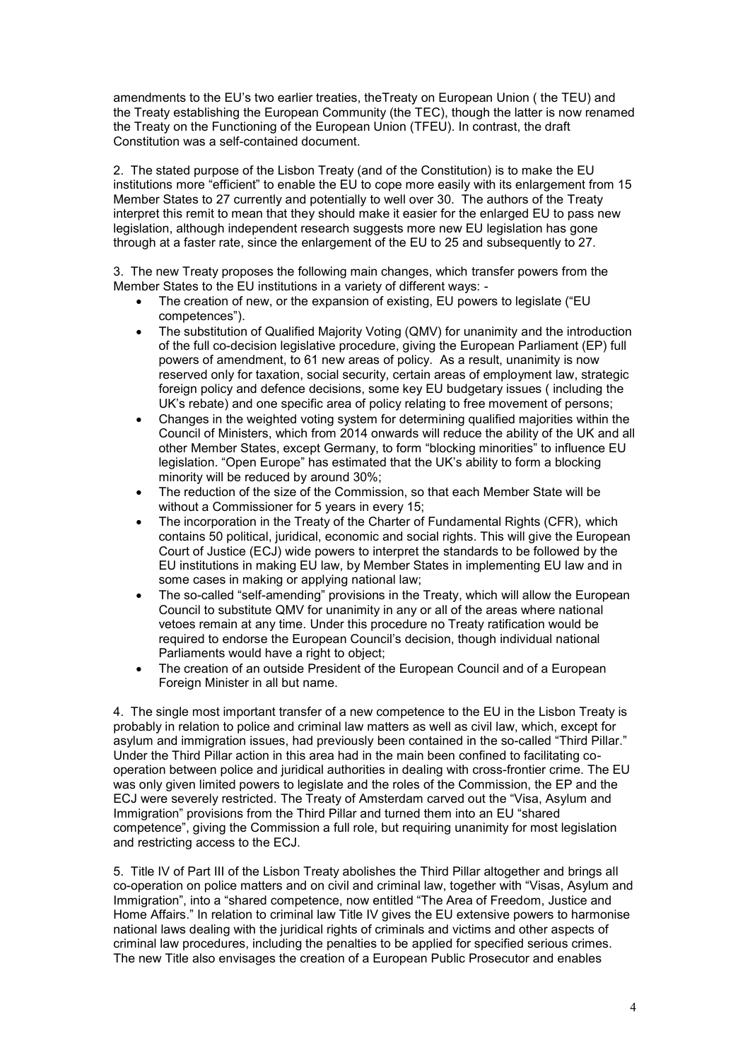amendments to the EU's two earlier treaties, theTreaty on European Union ( the TEU) and the Treaty establishing the European Community (the TEC), though the latter is now renamed the Treaty on the Functioning of the European Union (TFEU). In contrast, the draft Constitution was a self-contained document.

2. The stated purpose of the Lisbon Treaty (and of the Constitution) is to make the EU institutions more "efficient" to enable the EU to cope more easily with its enlargement from 15 Member States to 27 currently and potentially to well over 30. The authors of the Treaty interpret this remit to mean that they should make it easier for the enlarged EU to pass new legislation, although independent research suggests more new EU legislation has gone through at a faster rate, since the enlargement of the EU to 25 and subsequently to 27.

3. The new Treaty proposes the following main changes, which transfer powers from the Member States to the EU institutions in a variety of different ways: -

- The creation of new, or the expansion of existing, EU powers to legislate ("EU competences").
- The substitution of Qualified Majority Voting (QMV) for unanimity and the introduction of the full co-decision legislative procedure, giving the European Parliament (EP) full powers of amendment, to 61 new areas of policy. As a result, unanimity is now reserved only for taxation, social security, certain areas of employment law, strategic foreign policy and defence decisions, some key EU budgetary issues ( including the UK's rebate) and one specific area of policy relating to free movement of persons;
- Changes in the weighted voting system for determining qualified majorities within the Council of Ministers, which from 2014 onwards will reduce the ability of the UK and all other Member States, except Germany, to form "blocking minorities" to influence EU legislation. "Open Europe" has estimated that the UK's ability to form a blocking minority will be reduced by around 30%;
- The reduction of the size of the Commission, so that each Member State will be without a Commissioner for 5 years in every 15;
- The incorporation in the Treaty of the Charter of Fundamental Rights (CFR), which contains 50 political, juridical, economic and social rights. This will give the European Court of Justice (ECJ) wide powers to interpret the standards to be followed by the EU institutions in making EU law, by Member States in implementing EU law and in some cases in making or applying national law;
- The so-called "self-amending" provisions in the Treaty, which will allow the European Council to substitute QMV for unanimity in any or all of the areas where national vetoes remain at any time. Under this procedure no Treaty ratification would be required to endorse the European Council's decision, though individual national Parliaments would have a right to object;
- The creation of an outside President of the European Council and of a European Foreign Minister in all but name.

4. The single most important transfer of a new competence to the EU in the Lisbon Treaty is probably in relation to police and criminal law matters as well as civil law, which, except for asylum and immigration issues, had previously been contained in the so-called "Third Pillar." Under the Third Pillar action in this area had in the main been confined to facilitating cooperation between police and juridical authorities in dealing with cross-frontier crime. The EU was only given limited powers to legislate and the roles of the Commission, the EP and the ECJ were severely restricted. The Treaty of Amsterdam carved out the "Visa, Asylum and Immigration" provisions from the Third Pillar and turned them into an EU "shared competence", giving the Commission a full role, but requiring unanimity for most legislation and restricting access to the ECJ.

5. Title IV of Part III of the Lisbon Treaty abolishes the Third Pillar altogether and brings all co-operation on police matters and on civil and criminal law, together with "Visas, Asylum and Immigration", into a "shared competence, now entitled "The Area of Freedom, Justice and Home Affairs." In relation to criminal law Title IV gives the EU extensive powers to harmonise national laws dealing with the juridical rights of criminals and victims and other aspects of criminal law procedures, including the penalties to be applied for specified serious crimes. The new Title also envisages the creation of a European Public Prosecutor and enables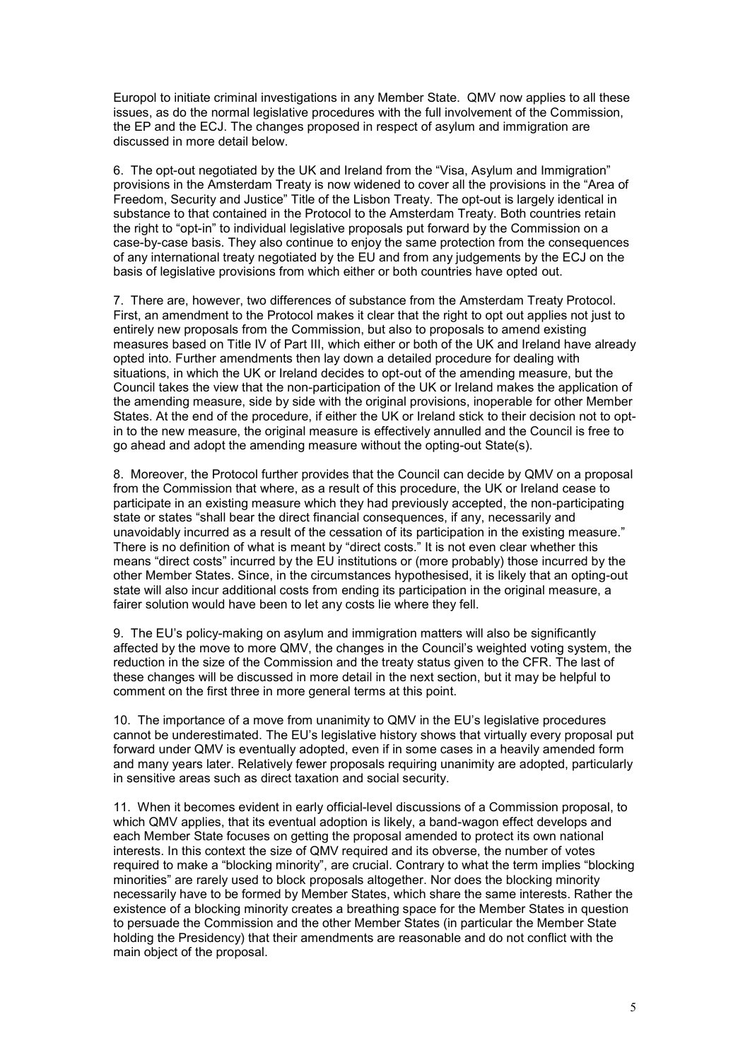Europol to initiate criminal investigations in any Member State. QMV now applies to all these issues, as do the normal legislative procedures with the full involvement of the Commission, the EP and the ECJ. The changes proposed in respect of asylum and immigration are discussed in more detail below.

6. The opt-out negotiated by the UK and Ireland from the "Visa, Asylum and Immigration" provisions in the Amsterdam Treaty is now widened to cover all the provisions in the "Area of Freedom, Security and Justice" Title of the Lisbon Treaty. The opt-out is largely identical in substance to that contained in the Protocol to the Amsterdam Treaty. Both countries retain the right to "opt-in" to individual legislative proposals put forward by the Commission on a case-by-case basis. They also continue to enjoy the same protection from the consequences of any international treaty negotiated by the EU and from any judgements by the ECJ on the basis of legislative provisions from which either or both countries have opted out.

7. There are, however, two differences of substance from the Amsterdam Treaty Protocol. First, an amendment to the Protocol makes it clear that the right to opt out applies not just to entirely new proposals from the Commission, but also to proposals to amend existing measures based on Title IV of Part III, which either or both of the UK and Ireland have already opted into. Further amendments then lay down a detailed procedure for dealing with situations, in which the UK or Ireland decides to opt-out of the amending measure, but the Council takes the view that the non-participation of the UK or Ireland makes the application of the amending measure, side by side with the original provisions, inoperable for other Member States. At the end of the procedure, if either the UK or Ireland stick to their decision not to optin to the new measure, the original measure is effectively annulled and the Council is free to go ahead and adopt the amending measure without the opting-out State(s).

8. Moreover, the Protocol further provides that the Council can decide by QMV on a proposal from the Commission that where, as a result of this procedure, the UK or Ireland cease to participate in an existing measure which they had previously accepted, the non-participating state or states "shall bear the direct financial consequences, if any, necessarily and unavoidably incurred as a result of the cessation of its participation in the existing measure." There is no definition of what is meant by "direct costs." It is not even clear whether this means "direct costs" incurred by the EU institutions or (more probably) those incurred by the other Member States. Since, in the circumstances hypothesised, it is likely that an opting-out state will also incur additional costs from ending its participation in the original measure, a fairer solution would have been to let any costs lie where they fell.

9. The EU's policy-making on asylum and immigration matters will also be significantly affected by the move to more QMV, the changes in the Council's weighted voting system, the reduction in the size of the Commission and the treaty status given to the CFR. The last of these changes will be discussed in more detail in the next section, but it may be helpful to comment on the first three in more general terms at this point.

10. The importance of a move from unanimity to QMV in the EU's legislative procedures cannot be underestimated. The EU's legislative history shows that virtually every proposal put forward under QMV is eventually adopted, even if in some cases in a heavily amended form and many years later. Relatively fewer proposals requiring unanimity are adopted, particularly in sensitive areas such as direct taxation and social security.

11. When it becomes evident in early official-level discussions of a Commission proposal, to which QMV applies, that its eventual adoption is likely, a band-wagon effect develops and each Member State focuses on getting the proposal amended to protect its own national interests. In this context the size of QMV required and its obverse, the number of votes required to make a "blocking minority", are crucial. Contrary to what the term implies "blocking minorities" are rarely used to block proposals altogether. Nor does the blocking minority necessarily have to be formed by Member States, which share the same interests. Rather the existence of a blocking minority creates a breathing space for the Member States in question to persuade the Commission and the other Member States (in particular the Member State holding the Presidency) that their amendments are reasonable and do not conflict with the main object of the proposal.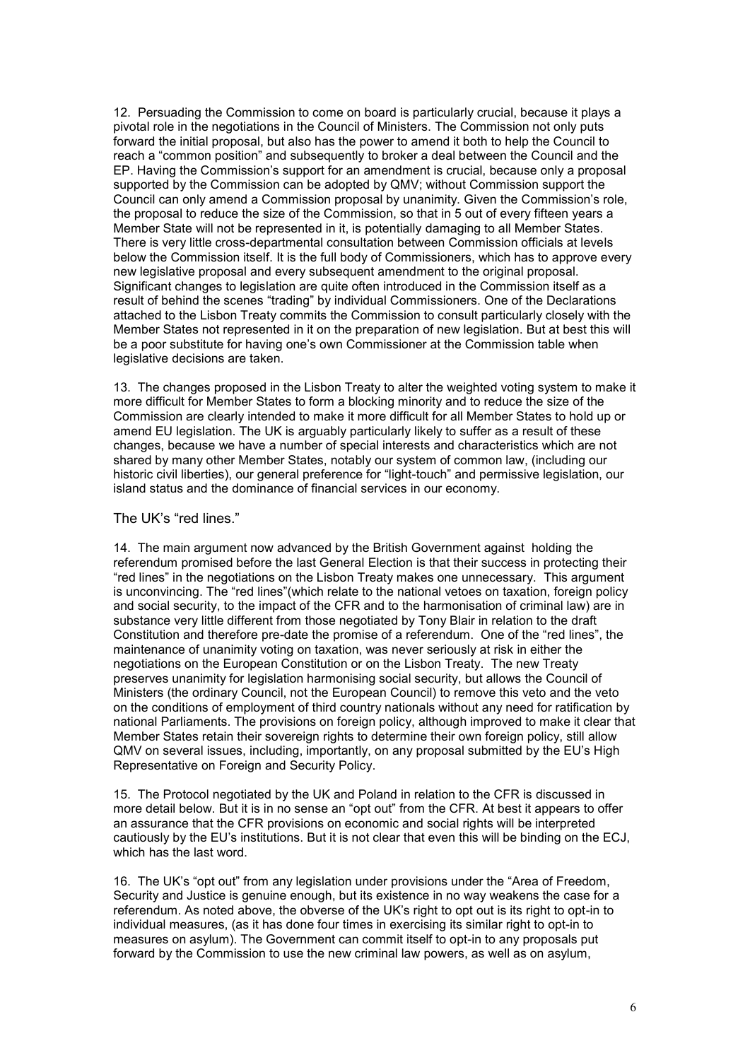12. Persuading the Commission to come on board is particularly crucial, because it plays a pivotal role in the negotiations in the Council of Ministers. The Commission not only puts forward the initial proposal, but also has the power to amend it both to help the Council to reach a "common position" and subsequently to broker a deal between the Council and the EP. Having the Commission's support for an amendment is crucial, because only a proposal supported by the Commission can be adopted by QMV; without Commission support the Council can only amend a Commission proposal by unanimity. Given the Commission's role, the proposal to reduce the size of the Commission, so that in 5 out of every fifteen years a Member State will not be represented in it, is potentially damaging to all Member States. There is very little cross-departmental consultation between Commission officials at levels below the Commission itself. It is the full body of Commissioners, which has to approve every new legislative proposal and every subsequent amendment to the original proposal. Significant changes to legislation are quite often introduced in the Commission itself as a result of behind the scenes "trading" by individual Commissioners. One of the Declarations attached to the Lisbon Treaty commits the Commission to consult particularly closely with the Member States not represented in it on the preparation of new legislation. But at best this will be a poor substitute for having one's own Commissioner at the Commission table when legislative decisions are taken.

13. The changes proposed in the Lisbon Treaty to alter the weighted voting system to make it more difficult for Member States to form a blocking minority and to reduce the size of the Commission are clearly intended to make it more difficult for all Member States to hold up or amend EU legislation. The UK is arguably particularly likely to suffer as a result of these changes, because we have a number of special interests and characteristics which are not shared by many other Member States, notably our system of common law, (including our historic civil liberties), our general preference for "light-touch" and permissive legislation, our island status and the dominance of financial services in our economy.

### The UK's "red lines."

14. The main argument now advanced by the British Government against holding the referendum promised before the last General Election is that their success in protecting their "red lines" in the negotiations on the Lisbon Treaty makes one unnecessary. This argument is unconvincing. The "red lines"(which relate to the national vetoes on taxation, foreign policy and social security, to the impact of the CFR and to the harmonisation of criminal law) are in substance very little different from those negotiated by Tony Blair in relation to the draft Constitution and therefore pre-date the promise of a referendum. One of the "red lines", the maintenance of unanimity voting on taxation, was never seriously at risk in either the negotiations on the European Constitution or on the Lisbon Treaty. The new Treaty preserves unanimity for legislation harmonising social security, but allows the Council of Ministers (the ordinary Council, not the European Council) to remove this veto and the veto on the conditions of employment of third country nationals without any need for ratification by national Parliaments. The provisions on foreign policy, although improved to make it clear that Member States retain their sovereign rights to determine their own foreign policy, still allow QMV on several issues, including, importantly, on any proposal submitted by the EU's High Representative on Foreign and Security Policy.

15. The Protocol negotiated by the UK and Poland in relation to the CFR is discussed in more detail below. But it is in no sense an "opt out" from the CFR. At best it appears to offer an assurance that the CFR provisions on economic and social rights will be interpreted cautiously by the EU's institutions. But it is not clear that even this will be binding on the ECJ, which has the last word.

16. The UK's "opt out" from any legislation under provisions under the "Area of Freedom, Security and Justice is genuine enough, but its existence in no way weakens the case for a referendum. As noted above, the obverse of the UK's right to opt out is its right to opt-in to individual measures, (as it has done four times in exercising its similar right to opt-in to measures on asylum). The Government can commit itself to opt-in to any proposals put forward by the Commission to use the new criminal law powers, as well as on asylum,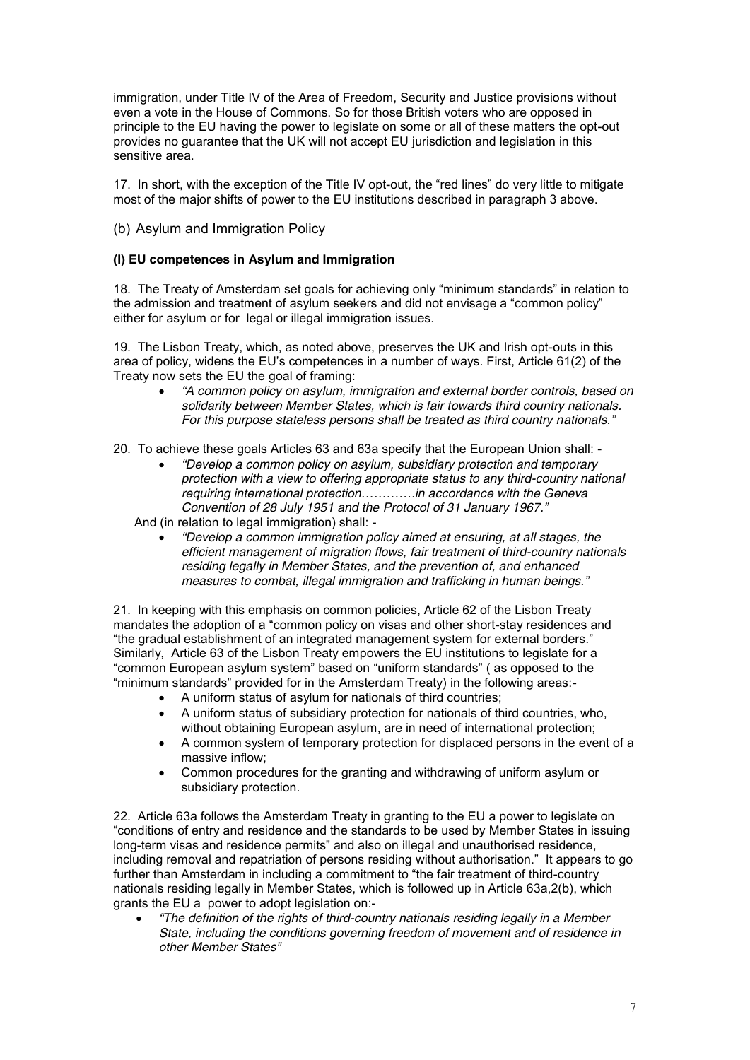immigration, under Title IV of the Area of Freedom, Security and Justice provisions without even a vote in the House of Commons. So for those British voters who are opposed in principle to the EU having the power to legislate on some or all of these matters the opt-out provides no guarantee that the UK will not accept EU jurisdiction and legislation in this sensitive area.

17. In short, with the exception of the Title IV opt-out, the "red lines" do very little to mitigate most of the major shifts of power to the EU institutions described in paragraph 3 above.

(b) Asylum and Immigration Policy

### **(I) EU competences in Asylum and Immigration**

18. The Treaty of Amsterdam set goals for achieving only "minimum standards" in relation to the admission and treatment of asylum seekers and did not envisage a "common policy" either for asylum or for legal or illegal immigration issues.

19. The Lisbon Treaty, which, as noted above, preserves the UK and Irish opt-outs in this area of policy, widens the EU's competences in a number of ways. First, Article 61(2) of the Treaty now sets the EU the goal of framing:

· *"A common policy on asylum, immigration and external border controls, based on solidarity between Member States, which is fair towards third country nationals. For this purpose stateless persons shall be treated as third country nationals."*

20. To achieve these goals Articles 63 and 63a specify that the European Union shall: -

· *"Develop a common policy on asylum, subsidiary protection and temporary protection with a view to offering appropriate status to any third-country national requiring international protection………….in accordance with the Geneva Convention of 28 July 1951 and the Protocol of 31 January 1967."*

And (in relation to legal immigration) shall: -

· *"Develop a common immigration policy aimed at ensuring, at all stages, the efficient management of migration flows, fair treatment of third-country nationals residing legally in Member States, and the prevention of, and enhanced measures to combat, illegal immigration and trafficking in human beings."*

21. In keeping with this emphasis on common policies, Article 62 of the Lisbon Treaty mandates the adoption of a "common policy on visas and other short-stay residences and "the gradual establishment of an integrated management system for external borders." Similarly, Article 63 of the Lisbon Treaty empowers the EU institutions to legislate for a "common European asylum system" based on "uniform standards" ( as opposed to the "minimum standards" provided for in the Amsterdam Treaty) in the following areas:-

- · A uniform status of asylum for nationals of third countries;
- · A uniform status of subsidiary protection for nationals of third countries, who, without obtaining European asylum, are in need of international protection;
- A common system of temporary protection for displaced persons in the event of a massive inflow;
- · Common procedures for the granting and withdrawing of uniform asylum or subsidiary protection.

22. Article 63a follows the Amsterdam Treaty in granting to the EU a power to legislate on "conditions of entry and residence and the standards to be used by Member States in issuing long-term visas and residence permits" and also on illegal and unauthorised residence, including removal and repatriation of persons residing without authorisation." It appears to go further than Amsterdam in including a commitment to "the fair treatment of third-country nationals residing legally in Member States, which is followed up in Article 63a,2(b), which grants the EU a power to adopt legislation on:-

· *"The definition of the rights of third-country nationals residing legally in a Member State, including the conditions governing freedom of movement and of residence in other Member States"*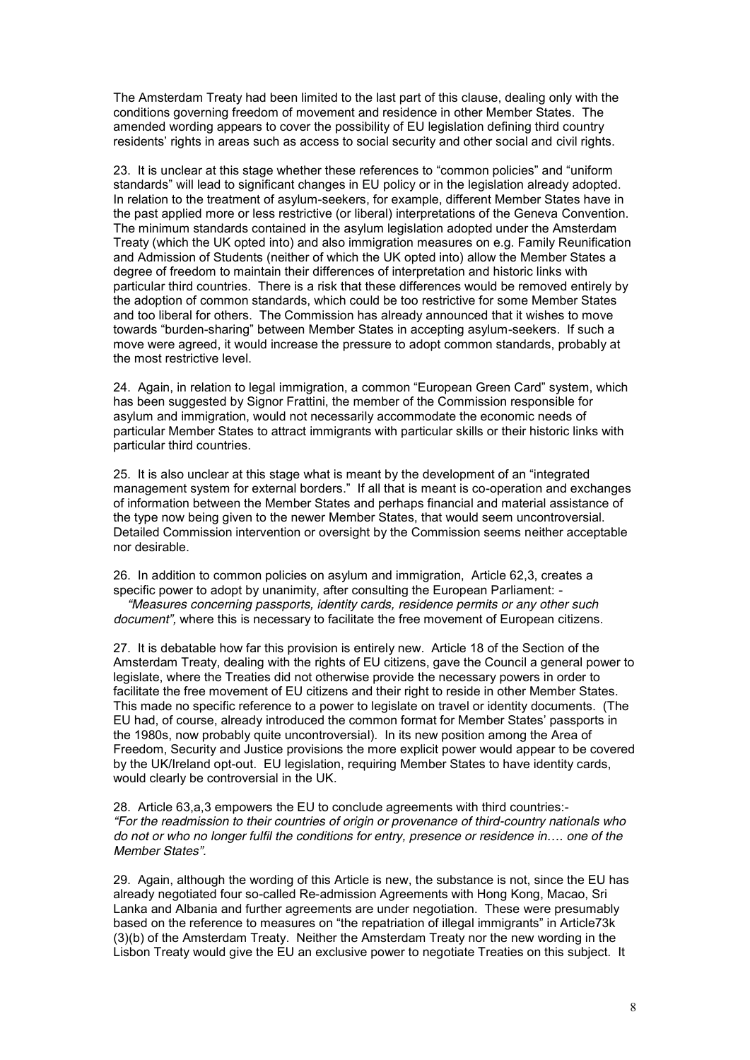The Amsterdam Treaty had been limited to the last part of this clause, dealing only with the conditions governing freedom of movement and residence in other Member States. The amended wording appears to cover the possibility of EU legislation defining third country residents' rights in areas such as access to social security and other social and civil rights.

23. It is unclear at this stage whether these references to "common policies" and "uniform standards" will lead to significant changes in EU policy or in the legislation already adopted. In relation to the treatment of asylum-seekers, for example, different Member States have in the past applied more or less restrictive (or liberal) interpretations of the Geneva Convention. The minimum standards contained in the asylum legislation adopted under the Amsterdam Treaty (which the UK opted into) and also immigration measures on e.g. Family Reunification and Admission of Students (neither of which the UK opted into) allow the Member States a degree of freedom to maintain their differences of interpretation and historic links with particular third countries. There is a risk that these differences would be removed entirely by the adoption of common standards, which could be too restrictive for some Member States and too liberal for others. The Commission has already announced that it wishes to move towards "burden-sharing" between Member States in accepting asylum-seekers. If such a move were agreed, it would increase the pressure to adopt common standards, probably at the most restrictive level.

24. Again, in relation to legal immigration, a common "European Green Card" system, which has been suggested by Signor Frattini, the member of the Commission responsible for asylum and immigration, would not necessarily accommodate the economic needs of particular Member States to attract immigrants with particular skills or their historic links with particular third countries.

25. It is also unclear at this stage what is meant by the development of an "integrated management system for external borders." If all that is meant is co-operation and exchanges of information between the Member States and perhaps financial and material assistance of the type now being given to the newer Member States, that would seem uncontroversial. Detailed Commission intervention or oversight by the Commission seems neither acceptable nor desirable.

26. In addition to common policies on asylum and immigration, Article 62,3, creates a specific power to adopt by unanimity, after consulting the European Parliament: -

*"Measures concerning passports, identity cards, residence permits or any other such document",* where this is necessary to facilitate the free movement of European citizens.

27. It is debatable how far this provision is entirely new. Article 18 of the Section of the Amsterdam Treaty, dealing with the rights of EU citizens, gave the Council a general power to legislate, where the Treaties did not otherwise provide the necessary powers in order to facilitate the free movement of EU citizens and their right to reside in other Member States. This made no specific reference to a power to legislate on travel or identity documents. (The EU had, of course, already introduced the common format for Member States' passports in the 1980s, now probably quite uncontroversial). In its new position among the Area of Freedom, Security and Justice provisions the more explicit power would appear to be covered by the UK/Ireland opt-out. EU legislation, requiring Member States to have identity cards, would clearly be controversial in the UK.

28. Article 63,a,3 empowers the EU to conclude agreements with third countries:- *"For the readmission to their countries of origin or provenance of third-country nationals who do not or who no longer fulfil the conditions for entry, presence or residence in…. one of the Member States".*

29. Again, although the wording of this Article is new, the substance is not, since the EU has already negotiated four so-called Re-admission Agreements with Hong Kong, Macao, Sri Lanka and Albania and further agreements are under negotiation. These were presumably based on the reference to measures on "the repatriation of illegal immigrants" in Article73k (3)(b) of the Amsterdam Treaty. Neither the Amsterdam Treaty nor the new wording in the Lisbon Treaty would give the EU an exclusive power to negotiate Treaties on this subject. It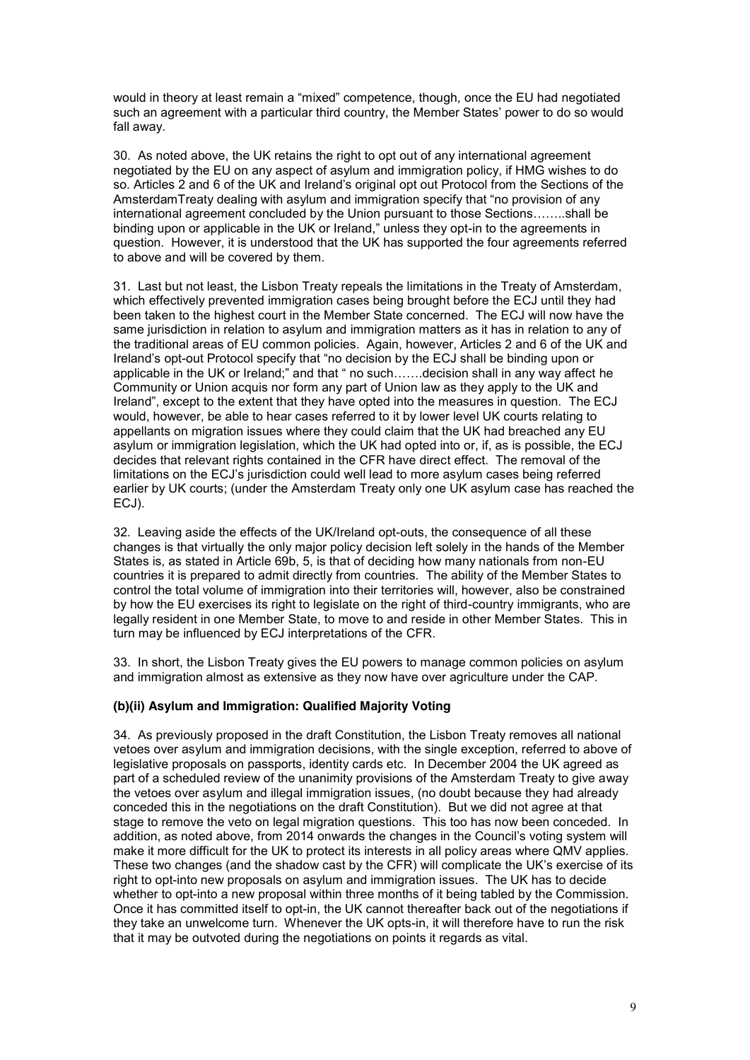would in theory at least remain a "mixed" competence, though, once the EU had negotiated such an agreement with a particular third country, the Member States' power to do so would fall away.

30. As noted above, the UK retains the right to opt out of any international agreement negotiated by the EU on any aspect of asylum and immigration policy, if HMG wishes to do so. Articles 2 and 6 of the UK and Ireland's original opt out Protocol from the Sections of the AmsterdamTreaty dealing with asylum and immigration specify that "no provision of any international agreement concluded by the Union pursuant to those Sections……..shall be binding upon or applicable in the UK or Ireland," unless they opt-in to the agreements in question. However, it is understood that the UK has supported the four agreements referred to above and will be covered by them.

31. Last but not least, the Lisbon Treaty repeals the limitations in the Treaty of Amsterdam, which effectively prevented immigration cases being brought before the ECJ until they had been taken to the highest court in the Member State concerned. The ECJ will now have the same jurisdiction in relation to asylum and immigration matters as it has in relation to any of the traditional areas of EU common policies. Again, however, Articles 2 and 6 of the UK and Ireland's opt-out Protocol specify that "no decision by the ECJ shall be binding upon or applicable in the UK or Ireland;" and that " no such…….decision shall in any way affect he Community or Union acquis nor form any part of Union law as they apply to the UK and Ireland", except to the extent that they have opted into the measures in question. The ECJ would, however, be able to hear cases referred to it by lower level UK courts relating to appellants on migration issues where they could claim that the UK had breached any EU asylum or immigration legislation, which the UK had opted into or, if, as is possible, the ECJ decides that relevant rights contained in the CFR have direct effect. The removal of the limitations on the ECJ's jurisdiction could well lead to more asylum cases being referred earlier by UK courts; (under the Amsterdam Treaty only one UK asylum case has reached the ECJ).

32. Leaving aside the effects of the UK/Ireland opt-outs, the consequence of all these changes is that virtually the only major policy decision left solely in the hands of the Member States is, as stated in Article 69b, 5, is that of deciding how many nationals from non-EU countries it is prepared to admit directly from countries. The ability of the Member States to control the total volume of immigration into their territories will, however, also be constrained by how the EU exercises its right to legislate on the right of third-country immigrants, who are legally resident in one Member State, to move to and reside in other Member States. This in turn may be influenced by ECJ interpretations of the CFR.

33. In short, the Lisbon Treaty gives the EU powers to manage common policies on asylum and immigration almost as extensive as they now have over agriculture under the CAP.

### **(b)(ii) Asylum and Immigration: Qualified Majority Voting**

34. As previously proposed in the draft Constitution, the Lisbon Treaty removes all national vetoes over asylum and immigration decisions, with the single exception, referred to above of legislative proposals on passports, identity cards etc. In December 2004 the UK agreed as part of a scheduled review of the unanimity provisions of the Amsterdam Treaty to give away the vetoes over asylum and illegal immigration issues, (no doubt because they had already conceded this in the negotiations on the draft Constitution). But we did not agree at that stage to remove the veto on legal migration questions. This too has now been conceded. In addition, as noted above, from 2014 onwards the changes in the Council's voting system will make it more difficult for the UK to protect its interests in all policy areas where QMV applies. These two changes (and the shadow cast by the CFR) will complicate the UK's exercise of its right to opt-into new proposals on asylum and immigration issues. The UK has to decide whether to opt-into a new proposal within three months of it being tabled by the Commission. Once it has committed itself to opt-in, the UK cannot thereafter back out of the negotiations if they take an unwelcome turn. Whenever the UK opts-in, it will therefore have to run the risk that it may be outvoted during the negotiations on points it regards as vital.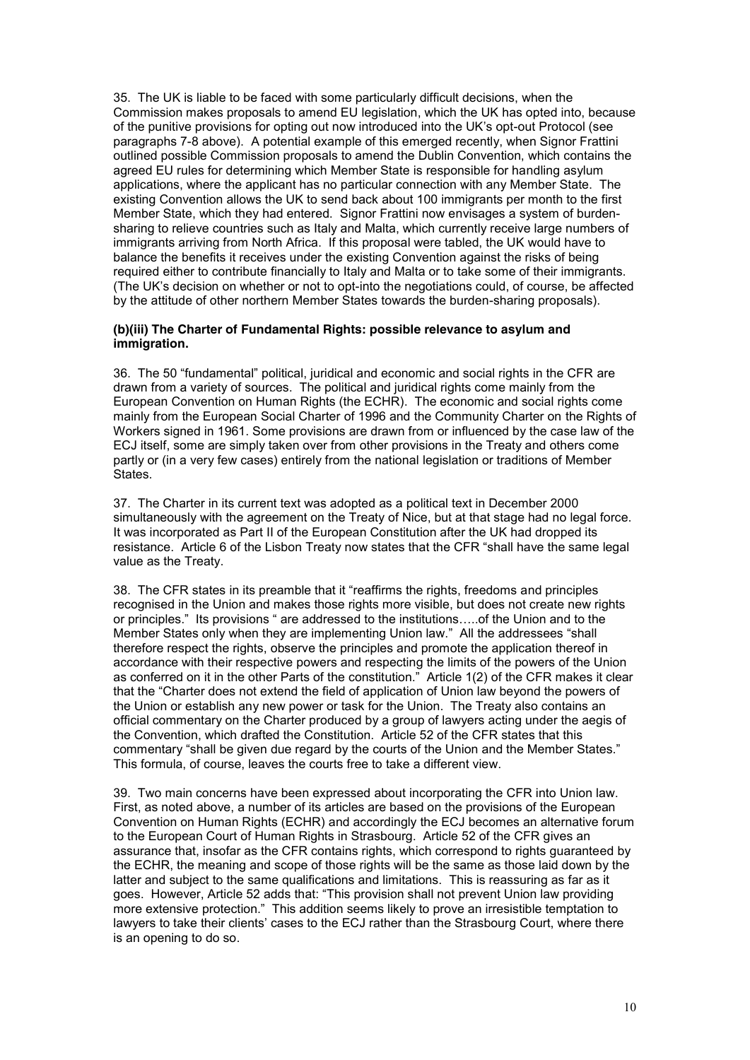35. The UK is liable to be faced with some particularly difficult decisions, when the Commission makes proposals to amend EU legislation, which the UK has opted into, because of the punitive provisions for opting out now introduced into the UK's opt-out Protocol (see paragraphs 7-8 above). A potential example of this emerged recently, when Signor Frattini outlined possible Commission proposals to amend the Dublin Convention, which contains the agreed EU rules for determining which Member State is responsible for handling asylum applications, where the applicant has no particular connection with any Member State. The existing Convention allows the UK to send back about 100 immigrants per month to the first Member State, which they had entered. Signor Frattini now envisages a system of burdensharing to relieve countries such as Italy and Malta, which currently receive large numbers of immigrants arriving from North Africa. If this proposal were tabled, the UK would have to balance the benefits it receives under the existing Convention against the risks of being required either to contribute financially to Italy and Malta or to take some of their immigrants. (The UK's decision on whether or not to opt-into the negotiations could, of course, be affected by the attitude of other northern Member States towards the burden-sharing proposals).

#### **(b)(iii) The Charter of Fundamental Rights: possible relevance to asylum and immigration.**

36. The 50 "fundamental" political, juridical and economic and social rights in the CFR are drawn from a variety of sources. The political and juridical rights come mainly from the European Convention on Human Rights (the ECHR). The economic and social rights come mainly from the European Social Charter of 1996 and the Community Charter on the Rights of Workers signed in 1961. Some provisions are drawn from or influenced by the case law of the ECJ itself, some are simply taken over from other provisions in the Treaty and others come partly or (in a very few cases) entirely from the national legislation or traditions of Member States.

37. The Charter in its current text was adopted as a political text in December 2000 simultaneously with the agreement on the Treaty of Nice, but at that stage had no legal force. It was incorporated as Part II of the European Constitution after the UK had dropped its resistance. Article 6 of the Lisbon Treaty now states that the CFR "shall have the same legal value as the Treaty.

38. The CFR states in its preamble that it "reaffirms the rights, freedoms and principles recognised in the Union and makes those rights more visible, but does not create new rights or principles." Its provisions " are addressed to the institutions…..of the Union and to the Member States only when they are implementing Union law." All the addressees "shall therefore respect the rights, observe the principles and promote the application thereof in accordance with their respective powers and respecting the limits of the powers of the Union as conferred on it in the other Parts of the constitution." Article 1(2) of the CFR makes it clear that the "Charter does not extend the field of application of Union law beyond the powers of the Union or establish any new power or task for the Union. The Treaty also contains an official commentary on the Charter produced by a group of lawyers acting under the aegis of the Convention, which drafted the Constitution. Article 52 of the CFR states that this commentary "shall be given due regard by the courts of the Union and the Member States." This formula, of course, leaves the courts free to take a different view.

39. Two main concerns have been expressed about incorporating the CFR into Union law. First, as noted above, a number of its articles are based on the provisions of the European Convention on Human Rights (ECHR) and accordingly the ECJ becomes an alternative forum to the European Court of Human Rights in Strasbourg. Article 52 of the CFR gives an assurance that, insofar as the CFR contains rights, which correspond to rights guaranteed by the ECHR, the meaning and scope of those rights will be the same as those laid down by the latter and subject to the same qualifications and limitations. This is reassuring as far as it goes. However, Article 52 adds that: "This provision shall not prevent Union law providing more extensive protection." This addition seems likely to prove an irresistible temptation to lawyers to take their clients' cases to the ECJ rather than the Strasbourg Court, where there is an opening to do so.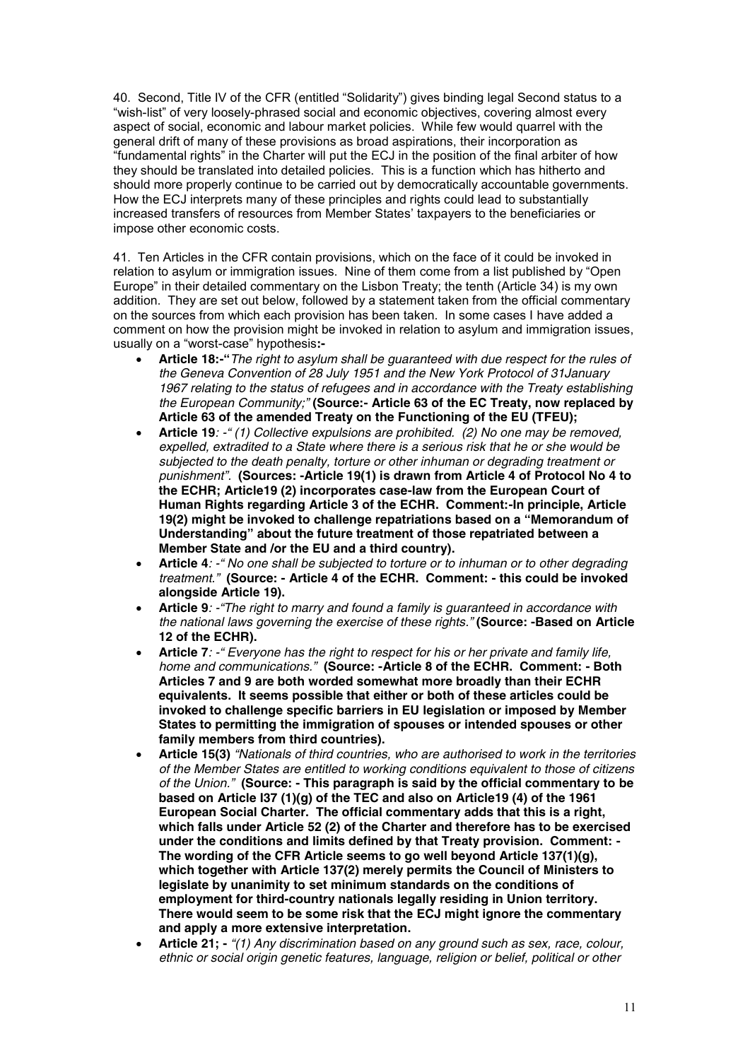40. Second, Title IV of the CFR (entitled "Solidarity") gives binding legal Second status to a "wish-list" of very loosely-phrased social and economic objectives, covering almost every aspect of social, economic and labour market policies. While few would quarrel with the general drift of many of these provisions as broad aspirations, their incorporation as "fundamental rights" in the Charter will put the ECJ in the position of the final arbiter of how they should be translated into detailed policies. This is a function which has hitherto and should more properly continue to be carried out by democratically accountable governments. How the ECJ interprets many of these principles and rights could lead to substantially increased transfers of resources from Member States' taxpayers to the beneficiaries or impose other economic costs.

41. Ten Articles in the CFR contain provisions, which on the face of it could be invoked in relation to asylum or immigration issues. Nine of them come from a list published by "Open Europe" in their detailed commentary on the Lisbon Treaty; the tenth (Article 34) is my own addition. They are set out below, followed by a statement taken from the official commentary on the sources from which each provision has been taken. In some cases I have added a comment on how the provision might be invoked in relation to asylum and immigration issues, usually on a "worst-case" hypothesis**:-**

- · **Article 18:-"***The right to asylum shall be guaranteed with due respect for the rules of the Geneva Convention of 28 July 1951 and the New York Protocol of 31January 1967 relating to the status of refugees and in accordance with the Treaty establishing the European Community;"* **(Source:- Article 63 of the EC Treaty, now replaced by Article 63 of the amended Treaty on the Functioning of the EU (TFEU);**
- · **Article 19***: -" (1) Collective expulsions are prohibited. (2) No one may be removed, expelled, extradited to a State where there is a serious risk that he or she would be subjected to the death penalty, torture or other inhuman or degrading treatment or punishment".* **(Sources: -Article 19(1) is drawn from Article 4 of Protocol No 4 to the ECHR; Article19 (2) incorporates case-law from the European Court of Human Rights regarding Article 3 of the ECHR. Comment:-In principle, Article 19(2) might be invoked to challenge repatriations based on a "Memorandum of Understanding" about the future treatment of those repatriated between a Member State and /or the EU and a third country).**
- · **Article 4***: -" No one shall be subjected to torture or to inhuman or to other degrading treatment."* **(Source: - Article 4 of the ECHR. Comment: - this could be invoked alongside Article 19).**
- · **Article 9***: -"The right to marry and found a family is guaranteed in accordance with the national laws governing the exercise of these rights."* **(Source: -Based on Article 12 of the ECHR).**
- · **Article 7***: -" Everyone has the right to respect for his or her private and family life, home and communications."* **(Source: -Article 8 of the ECHR. Comment: - Both Articles 7 and 9 are both worded somewhat more broadly than their ECHR equivalents. It seems possible that either or both of these articles could be invoked to challenge specific barriers in EU legislation or imposed by Member States to permitting the immigration of spouses or intended spouses or other family members from third countries).**
- · **Article 15(3)** *"Nationals of third countries, who are authorised to work in the territories of the Member States are entitled to working conditions equivalent to those of citizens of the Union."* **(Source: - This paragraph is said by the official commentary to be based on Article I37 (1)(g) of the TEC and also on Article19 (4) of the 1961 European Social Charter. The official commentary adds that this is a right, which falls under Article 52 (2) of the Charter and therefore has to be exercised under the conditions and limits defined by that Treaty provision. Comment: - The wording of the CFR Article seems to go well beyond Article 137(1)(g), which together with Article 137(2) merely permits the Council of Ministers to legislate by unanimity to set minimum standards on the conditions of employment for third-country nationals legally residing in Union territory. There would seem to be some risk that the ECJ might ignore the commentary and apply a more extensive interpretation.**
- · **Article 21; -** *"(1) Any discrimination based on any ground such as sex, race, colour, ethnic or social origin genetic features, language, religion or belief, political or other*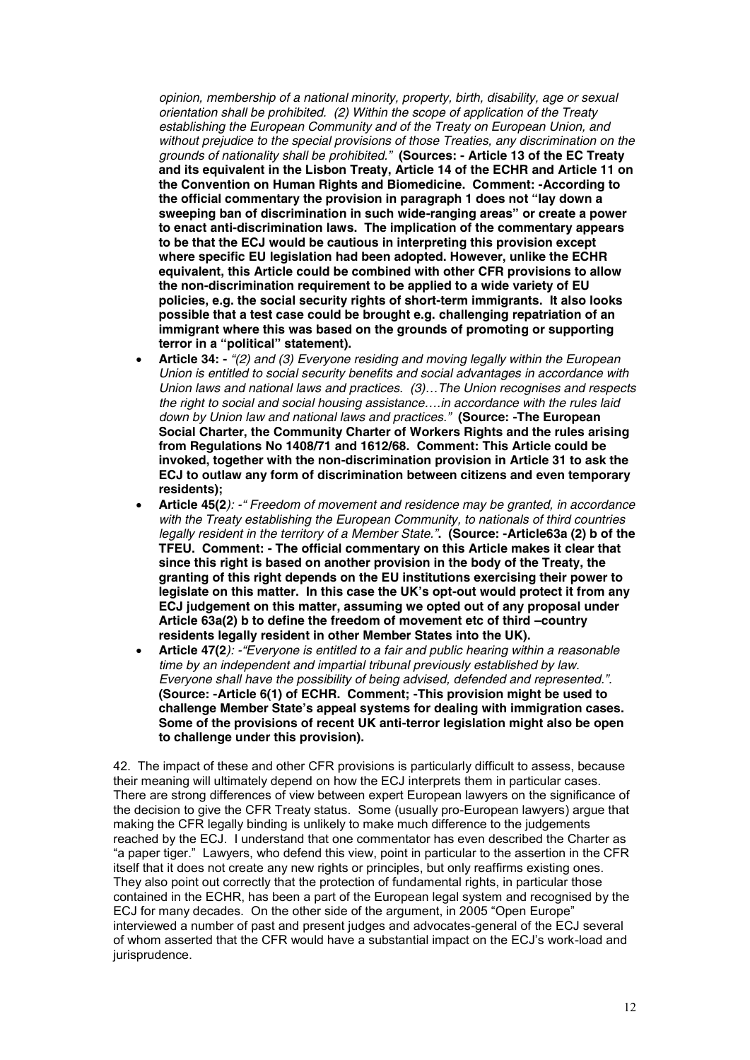*opinion, membership of a national minority, property, birth, disability, age or sexual orientation shall be prohibited. (2) Within the scope of application of the Treaty establishing the European Community and of the Treaty on European Union, and without prejudice to the special provisions of those Treaties, any discrimination on the grounds of nationality shall be prohibited."* **(Sources: - Article 13 of the EC Treaty and its equivalent in the Lisbon Treaty, Article 14 of the ECHR and Article 11 on the Convention on Human Rights and Biomedicine. Comment: -According to the official commentary the provision in paragraph 1 does not "lay down a sweeping ban of discrimination in such wide-ranging areas" or create a power to enact anti-discrimination laws. The implication of the commentary appears to be that the ECJ would be cautious in interpreting this provision except where specific EU legislation had been adopted. However, unlike the ECHR equivalent, this Article could be combined with other CFR provisions to allow the non-discrimination requirement to be applied to a wide variety of EU policies, e.g. the social security rights of short-term immigrants. It also looks possible that a test case could be brought e.g. challenging repatriation of an immigrant where this was based on the grounds of promoting or supporting terror in a "political" statement).**

- · **Article 34: -** *"(2) and (3) Everyone residing and moving legally within the European Union is entitled to social security benefits and social advantages in accordance with Union laws and national laws and practices. (3)…The Union recognises and respects the right to social and social housing assistance….in accordance with the rules laid down by Union law and national laws and practices."* **(Source: -The European Social Charter, the Community Charter of Workers Rights and the rules arising from Regulations No 1408/71 and 1612/68. Comment: This Article could be invoked, together with the non-discrimination provision in Article 31 to ask the ECJ to outlaw any form of discrimination between citizens and even temporary residents);**
- · **Article 45(2***): -" Freedom of movement and residence may be granted, in accordance with the Treaty establishing the European Community, to nationals of third countries legally resident in the territory of a Member State."***. (Source: -Article63a (2) b of the TFEU. Comment: - The official commentary on this Article makes it clear that since this right is based on another provision in the body of the Treaty, the granting of this right depends on the EU institutions exercising their power to legislate on this matter. In this case the UK's opt-out would protect it from any ECJ judgement on this matter, assuming we opted out of any proposal under Article 63a(2) b to define the freedom of movement etc of third –country residents legally resident in other Member States into the UK).**
- · **Article 47(2***): -"Everyone is entitled to a fair and public hearing within a reasonable time by an independent and impartial tribunal previously established by law. Everyone shall have the possibility of being advised, defended and represented.".* **(Source: -Article 6(1) of ECHR. Comment; -This provision might be used to challenge Member State's appeal systems for dealing with immigration cases. Some of the provisions of recent UK anti-terror legislation might also be open to challenge under this provision).**

42. The impact of these and other CFR provisions is particularly difficult to assess, because their meaning will ultimately depend on how the ECJ interprets them in particular cases. There are strong differences of view between expert European lawyers on the significance of the decision to give the CFR Treaty status. Some (usually pro-European lawyers) argue that making the CFR legally binding is unlikely to make much difference to the judgements reached by the ECJ. I understand that one commentator has even described the Charter as "a paper tiger." Lawyers, who defend this view, point in particular to the assertion in the CFR itself that it does not create any new rights or principles, but only reaffirms existing ones. They also point out correctly that the protection of fundamental rights, in particular those contained in the ECHR, has been a part of the European legal system and recognised by the ECJ for many decades. On the other side of the argument, in 2005 "Open Europe" interviewed a number of past and present judges and advocates-general of the ECJ several of whom asserted that the CFR would have a substantial impact on the ECJ's work-load and jurisprudence.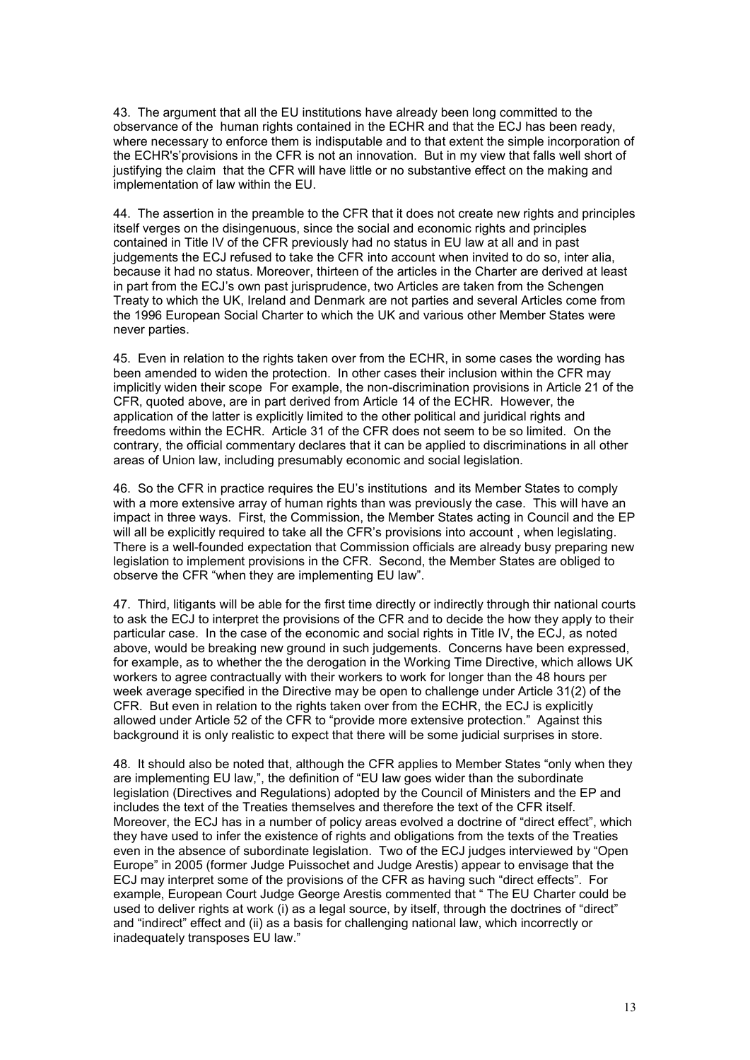43. The argument that all the EU institutions have already been long committed to the observance of the human rights contained in the ECHR and that the ECJ has been ready, where necessary to enforce them is indisputable and to that extent the simple incorporation of the ECHR's'provisions in the CFR is not an innovation. But in my view that falls well short of justifying the claim that the CFR will have little or no substantive effect on the making and implementation of law within the EU.

44. The assertion in the preamble to the CFR that it does not create new rights and principles itself verges on the disingenuous, since the social and economic rights and principles contained in Title IV of the CFR previously had no status in EU law at all and in past judgements the ECJ refused to take the CFR into account when invited to do so, inter alia, because it had no status. Moreover, thirteen of the articles in the Charter are derived at least in part from the ECJ's own past jurisprudence, two Articles are taken from the Schengen Treaty to which the UK, Ireland and Denmark are not parties and several Articles come from the 1996 European Social Charter to which the UK and various other Member States were never parties.

45. Even in relation to the rights taken over from the ECHR, in some cases the wording has been amended to widen the protection. In other cases their inclusion within the CFR may implicitly widen their scope For example, the non-discrimination provisions in Article 21 of the CFR, quoted above, are in part derived from Article 14 of the ECHR. However, the application of the latter is explicitly limited to the other political and juridical rights and freedoms within the ECHR. Article 31 of the CFR does not seem to be so limited. On the contrary, the official commentary declares that it can be applied to discriminations in all other areas of Union law, including presumably economic and social legislation.

46. So the CFR in practice requires the EU's institutions and its Member States to comply with a more extensive array of human rights than was previously the case. This will have an impact in three ways. First, the Commission, the Member States acting in Council and the EP will all be explicitly required to take all the CFR's provisions into account , when legislating. There is a well-founded expectation that Commission officials are already busy preparing new legislation to implement provisions in the CFR. Second, the Member States are obliged to observe the CFR "when they are implementing EU law".

47. Third, litigants will be able for the first time directly or indirectly through thir national courts to ask the ECJ to interpret the provisions of the CFR and to decide the how they apply to their particular case. In the case of the economic and social rights in Title IV, the ECJ, as noted above, would be breaking new ground in such judgements. Concerns have been expressed, for example, as to whether the the derogation in the Working Time Directive, which allows UK workers to agree contractually with their workers to work for longer than the 48 hours per week average specified in the Directive may be open to challenge under Article 31(2) of the CFR. But even in relation to the rights taken over from the ECHR, the ECJ is explicitly allowed under Article 52 of the CFR to "provide more extensive protection." Against this background it is only realistic to expect that there will be some judicial surprises in store.

48. It should also be noted that, although the CFR applies to Member States "only when they are implementing EU law,", the definition of "EU law goes wider than the subordinate legislation (Directives and Regulations) adopted by the Council of Ministers and the EP and includes the text of the Treaties themselves and therefore the text of the CFR itself. Moreover, the ECJ has in a number of policy areas evolved a doctrine of "direct effect", which they have used to infer the existence of rights and obligations from the texts of the Treaties even in the absence of subordinate legislation. Two of the ECJ judges interviewed by "Open Europe" in 2005 (former Judge Puissochet and Judge Arestis) appear to envisage that the ECJ may interpret some of the provisions of the CFR as having such "direct effects". For example, European Court Judge George Arestis commented that " The EU Charter could be used to deliver rights at work (i) as a legal source, by itself, through the doctrines of "direct" and "indirect" effect and (ii) as a basis for challenging national law, which incorrectly or inadequately transposes EU law."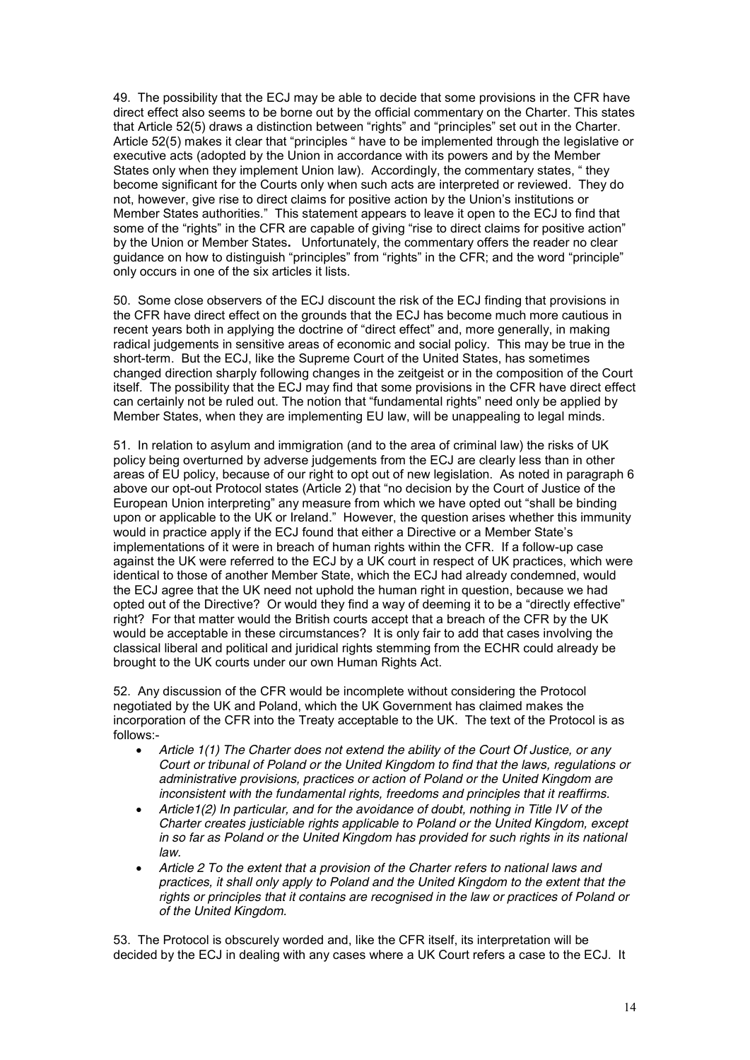49. The possibility that the ECJ may be able to decide that some provisions in the CFR have direct effect also seems to be borne out by the official commentary on the Charter. This states that Article 52(5) draws a distinction between "rights" and "principles" set out in the Charter. Article 52(5) makes it clear that "principles " have to be implemented through the legislative or executive acts (adopted by the Union in accordance with its powers and by the Member States only when they implement Union law). Accordingly, the commentary states, " they become significant for the Courts only when such acts are interpreted or reviewed. They do not, however, give rise to direct claims for positive action by the Union's institutions or Member States authorities." This statement appears to leave it open to the ECJ to find that some of the "rights" in the CFR are capable of giving "rise to direct claims for positive action" by the Union or Member States**.** Unfortunately, the commentary offers the reader no clear guidance on how to distinguish "principles" from "rights" in the CFR; and the word "principle" only occurs in one of the six articles it lists.

50. Some close observers of the ECJ discount the risk of the ECJ finding that provisions in the CFR have direct effect on the grounds that the ECJ has become much more cautious in recent years both in applying the doctrine of "direct effect" and, more generally, in making radical judgements in sensitive areas of economic and social policy. This may be true in the short-term. But the ECJ, like the Supreme Court of the United States, has sometimes changed direction sharply following changes in the zeitgeist or in the composition of the Court itself. The possibility that the ECJ may find that some provisions in the CFR have direct effect can certainly not be ruled out. The notion that "fundamental rights" need only be applied by Member States, when they are implementing EU law, will be unappealing to legal minds.

51. In relation to asylum and immigration (and to the area of criminal law) the risks of UK policy being overturned by adverse judgements from the ECJ are clearly less than in other areas of EU policy, because of our right to opt out of new legislation. As noted in paragraph 6 above our opt-out Protocol states (Article 2) that "no decision by the Court of Justice of the European Union interpreting" any measure from which we have opted out "shall be binding upon or applicable to the UK or Ireland." However, the question arises whether this immunity would in practice apply if the ECJ found that either a Directive or a Member State's implementations of it were in breach of human rights within the CFR. If a follow-up case against the UK were referred to the ECJ by a UK court in respect of UK practices, which were identical to those of another Member State, which the ECJ had already condemned, would the ECJ agree that the UK need not uphold the human right in question, because we had opted out of the Directive? Or would they find a way of deeming it to be a "directly effective" right? For that matter would the British courts accept that a breach of the CFR by the UK would be acceptable in these circumstances? It is only fair to add that cases involving the classical liberal and political and juridical rights stemming from the ECHR could already be brought to the UK courts under our own Human Rights Act.

52. Any discussion of the CFR would be incomplete without considering the Protocol negotiated by the UK and Poland, which the UK Government has claimed makes the incorporation of the CFR into the Treaty acceptable to the UK. The text of the Protocol is as follows:-

- · *Article 1(1) The Charter does not extend the ability of the Court Of Justice, or any Court or tribunal of Poland or the United Kingdom to find that the laws, regulations or administrative provisions, practices or action of Poland or the United Kingdom are inconsistent with the fundamental rights, freedoms and principles that it reaffirms.*
- · *Article1(2) In particular, and for the avoidance of doubt, nothing in Title IV of the Charter creates justiciable rights applicable to Poland or the United Kingdom, except in so far as Poland or the United Kingdom has provided for such rights in its national law.*
- · *Article 2 To the extent that a provision of the Charter refers to national laws and practices, it shall only apply to Poland and the United Kingdom to the extent that the rights or principles that it contains are recognised in the law or practices of Poland or of the United Kingdom.*

53. The Protocol is obscurely worded and, like the CFR itself, its interpretation will be decided by the ECJ in dealing with any cases where a UK Court refers a case to the ECJ. It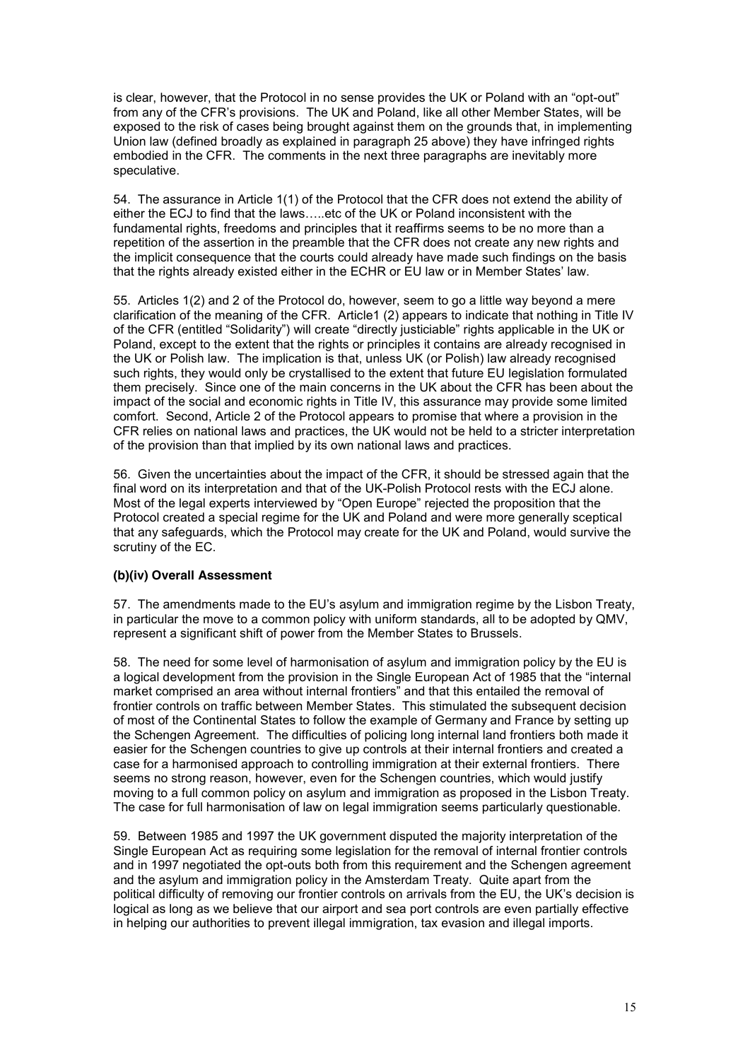is clear, however, that the Protocol in no sense provides the UK or Poland with an "opt-out" from any of the CFR's provisions. The UK and Poland, like all other Member States, will be exposed to the risk of cases being brought against them on the grounds that, in implementing Union law (defined broadly as explained in paragraph 25 above) they have infringed rights embodied in the CFR. The comments in the next three paragraphs are inevitably more speculative.

54. The assurance in Article 1(1) of the Protocol that the CFR does not extend the ability of either the ECJ to find that the laws…..etc of the UK or Poland inconsistent with the fundamental rights, freedoms and principles that it reaffirms seems to be no more than a repetition of the assertion in the preamble that the CFR does not create any new rights and the implicit consequence that the courts could already have made such findings on the basis that the rights already existed either in the ECHR or EU law or in Member States' law.

55. Articles 1(2) and 2 of the Protocol do, however, seem to go a little way beyond a mere clarification of the meaning of the CFR. Article1 (2) appears to indicate that nothing in Title IV of the CFR (entitled "Solidarity") will create "directly justiciable" rights applicable in the UK or Poland, except to the extent that the rights or principles it contains are already recognised in the UK or Polish law. The implication is that, unless UK (or Polish) law already recognised such rights, they would only be crystallised to the extent that future EU legislation formulated them precisely. Since one of the main concerns in the UK about the CFR has been about the impact of the social and economic rights in Title IV, this assurance may provide some limited comfort. Second, Article 2 of the Protocol appears to promise that where a provision in the CFR relies on national laws and practices, the UK would not be held to a stricter interpretation of the provision than that implied by its own national laws and practices.

56. Given the uncertainties about the impact of the CFR, it should be stressed again that the final word on its interpretation and that of the UK-Polish Protocol rests with the ECJ alone. Most of the legal experts interviewed by "Open Europe" rejected the proposition that the Protocol created a special regime for the UK and Poland and were more generally sceptical that any safeguards, which the Protocol may create for the UK and Poland, would survive the scrutiny of the EC.

### **(b)(iv) Overall Assessment**

57. The amendments made to the EU's asylum and immigration regime by the Lisbon Treaty, in particular the move to a common policy with uniform standards, all to be adopted by QMV, represent a significant shift of power from the Member States to Brussels.

58. The need for some level of harmonisation of asylum and immigration policy by the EU is a logical development from the provision in the Single European Act of 1985 that the "internal market comprised an area without internal frontiers" and that this entailed the removal of frontier controls on traffic between Member States. This stimulated the subsequent decision of most of the Continental States to follow the example of Germany and France by setting up the Schengen Agreement. The difficulties of policing long internal land frontiers both made it easier for the Schengen countries to give up controls at their internal frontiers and created a case for a harmonised approach to controlling immigration at their external frontiers. There seems no strong reason, however, even for the Schengen countries, which would justify moving to a full common policy on asylum and immigration as proposed in the Lisbon Treaty. The case for full harmonisation of law on legal immigration seems particularly questionable.

59. Between 1985 and 1997 the UK government disputed the majority interpretation of the Single European Act as requiring some legislation for the removal of internal frontier controls and in 1997 negotiated the opt-outs both from this requirement and the Schengen agreement and the asylum and immigration policy in the Amsterdam Treaty. Quite apart from the political difficulty of removing our frontier controls on arrivals from the EU, the UK's decision is logical as long as we believe that our airport and sea port controls are even partially effective in helping our authorities to prevent illegal immigration, tax evasion and illegal imports.